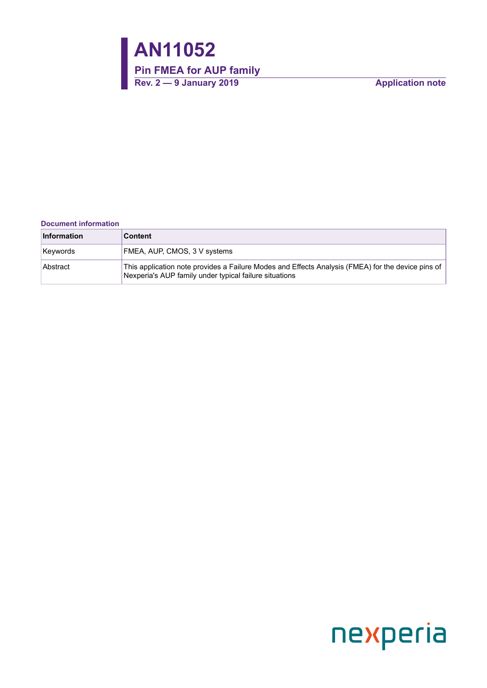### **Document information**

| Information | Content                                                                                                                                                     |
|-------------|-------------------------------------------------------------------------------------------------------------------------------------------------------------|
| Keywords    | FMEA, AUP, CMOS, 3 V systems                                                                                                                                |
| ∣Abstract   | This application note provides a Failure Modes and Effects Analysis (FMEA) for the device pins of<br>Nexperia's AUP family under typical failure situations |

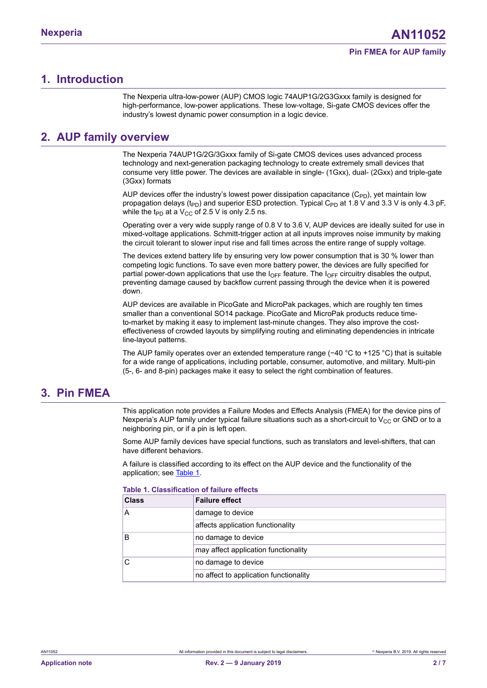## <span id="page-1-1"></span>**1. Introduction**

The Nexperia ultra-low-power (AUP) CMOS logic 74AUP1G/2G3Gxxx family is designed for high-performance, low-power applications. These low-voltage, Si-gate CMOS devices offer the industry's lowest dynamic power consumption in a logic device.

## <span id="page-1-2"></span>**2. AUP family overview**

The Nexperia 74AUP1G/2G/3Gxxx family of Si-gate CMOS devices uses advanced process technology and next-generation packaging technology to create extremely small devices that consume very little power. The devices are available in single- (1Gxx), dual- (2Gxx) and triple-gate (3Gxx) formats

AUP devices offer the industry's lowest power dissipation capacitance  $(C_{PD})$ , yet maintain low propagation delays (t<sub>PD</sub>) and superior ESD protection. Typical C<sub>PD</sub> at 1.8 V and 3.3 V is only 4.3 pF, while the t<sub>PD</sub> at a  $V_{CC}$  of 2.5 V is only 2.5 ns.

Operating over a very wide supply range of 0.8 V to 3.6 V, AUP devices are ideally suited for use in mixed-voltage applications. Schmitt-trigger action at all inputs improves noise immunity by making the circuit tolerant to slower input rise and fall times across the entire range of supply voltage.

The devices extend battery life by ensuring very low power consumption that is 30 % lower than competing logic functions. To save even more battery power, the devices are fully specified for partial power-down applications that use the  $I_{\text{OFF}}$  feature. The  $I_{\text{OFF}}$  circuitry disables the output, preventing damage caused by backflow current passing through the device when it is powered down.

AUP devices are available in PicoGate and MicroPak packages, which are roughly ten times smaller than a conventional SO14 package. PicoGate and MicroPak products reduce timeto-market by making it easy to implement last-minute changes. They also improve the costeffectiveness of crowded layouts by simplifying routing and eliminating dependencies in intricate line-layout patterns.

The AUP family operates over an extended temperature range (−40 °C to +125 °C) that is suitable for a wide range of applications, including portable, consumer, automotive, and military. Multi-pin (5-, 6- and 8-pin) packages make it easy to select the right combination of features.

## <span id="page-1-3"></span>**3. Pin FMEA**

This application note provides a Failure Modes and Effects Analysis (FMEA) for the device pins of Nexperia's AUP family under typical failure situations such as a short-circuit to  $V_{CC}$  or GND or to a neighboring pin, or if a pin is left open.

Some AUP family devices have special functions, such as translators and level-shifters, that can have different behaviors.

A failure is classified according to its effect on the AUP device and the functionality of the application; see [Table](#page-1-0) 1.

<span id="page-1-0"></span>

|  |  | Table 1. Classification of failure effects |  |  |  |  |  |  |  |
|--|--|--------------------------------------------|--|--|--|--|--|--|--|
|  |  |                                            |  |  |  |  |  |  |  |

| <b>Class</b> | <b>Failure effect</b>                  |
|--------------|----------------------------------------|
| А            | damage to device                       |
|              | affects application functionality      |
| В            | no damage to device                    |
|              | may affect application functionality   |
| ⌒            | no damage to device                    |
|              | no affect to application functionality |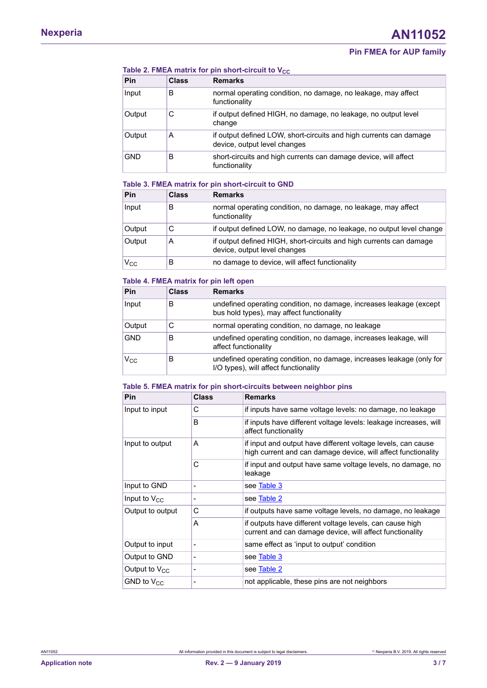### **Pin FMEA for AUP family**

| Pin        | <b>Class</b> | <b>Remarks</b>                                                                                     |
|------------|--------------|----------------------------------------------------------------------------------------------------|
| Input      | В            | normal operating condition, no damage, no leakage, may affect<br>functionality                     |
| Output     | С            | if output defined HIGH, no damage, no leakage, no output level<br>change                           |
| Output     | А            | if output defined LOW, short-circuits and high currents can damage<br>device, output level changes |
| <b>GND</b> | В            | short-circuits and high currents can damage device, will affect<br>functionality                   |

### <span id="page-2-1"></span>**Table 2. FMEA matrix for pin short-circuit to**  $V_{CC}$

### <span id="page-2-0"></span>**Table 3. FMEA matrix for pin short-circuit to GND**

| Pin    | <b>Class</b> | <b>Remarks</b>                                                                                      |
|--------|--------------|-----------------------------------------------------------------------------------------------------|
| Input  | в            | normal operating condition, no damage, no leakage, may affect<br>functionality                      |
| Output | С            | if output defined LOW, no damage, no leakage, no output level change                                |
| Output | А            | if output defined HIGH, short-circuits and high currents can damage<br>device, output level changes |
| Vcc    | в            | no damage to device, will affect functionality                                                      |

#### <span id="page-2-2"></span>**Table 4. FMEA matrix for pin left open**

| Pin          | Class | <b>Remarks</b>                                                                                                   |
|--------------|-------|------------------------------------------------------------------------------------------------------------------|
| Input        | В     | undefined operating condition, no damage, increases leakage (except<br>bus hold types), may affect functionality |
| Output       | U     | normal operating condition, no damage, no leakage                                                                |
| <b>GND</b>   | В     | undefined operating condition, no damage, increases leakage, will<br>affect functionality                        |
| $V_{\rm CC}$ | B     | undefined operating condition, no damage, increases leakage (only for<br>I/O types), will affect functionality   |

#### <span id="page-2-3"></span>**Table 5. FMEA matrix for pin short-circuits between neighbor pins**

| Pin                | Class                    | <b>Remarks</b>                                                                                                                |
|--------------------|--------------------------|-------------------------------------------------------------------------------------------------------------------------------|
| Input to input     | С                        | if inputs have same voltage levels: no damage, no leakage                                                                     |
|                    | B                        | if inputs have different voltage levels: leakage increases, will<br>affect functionality                                      |
| Input to output    | A                        | if input and output have different voltage levels, can cause<br>high current and can damage device, will affect functionality |
|                    | С                        | if input and output have same voltage levels, no damage, no<br>leakage                                                        |
| Input to GND       | $\overline{\phantom{a}}$ | see Table 3                                                                                                                   |
| Input to $V_{CC}$  |                          | see Table 2                                                                                                                   |
| Output to output   | С                        | if outputs have same voltage levels, no damage, no leakage                                                                    |
|                    | A                        | if outputs have different voltage levels, can cause high<br>current and can damage device, will affect functionality          |
| Output to input    | $\overline{\phantom{0}}$ | same effect as 'input to output' condition                                                                                    |
| Output to GND      | $\blacksquare$           | see Table 3                                                                                                                   |
| Output to $V_{CC}$ |                          | see Table 2                                                                                                                   |
| GND to $V_{CC}$    |                          | not applicable, these pins are not neighbors                                                                                  |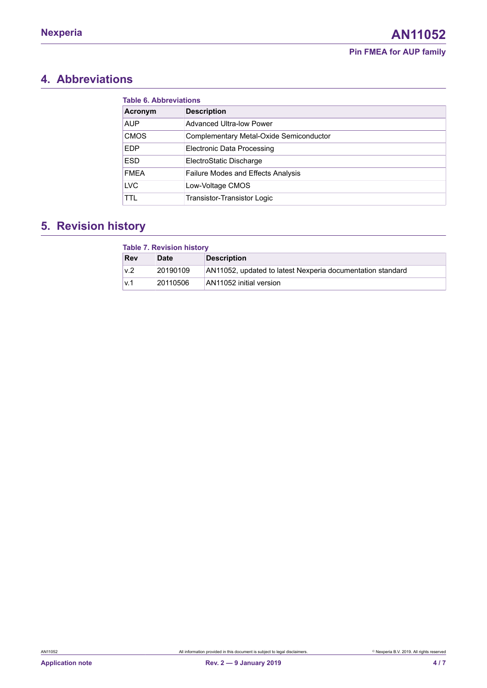# <span id="page-3-2"></span>**4. Abbreviations**

<span id="page-3-0"></span>

| <b>Table 6. Abbreviations</b> |                                           |  |  |  |
|-------------------------------|-------------------------------------------|--|--|--|
| Acronym                       | <b>Description</b>                        |  |  |  |
| <b>AUP</b>                    | Advanced Ultra-low Power                  |  |  |  |
| <b>CMOS</b>                   | Complementary Metal-Oxide Semiconductor   |  |  |  |
| <b>EDP</b>                    | Electronic Data Processing                |  |  |  |
| <b>ESD</b>                    | ElectroStatic Discharge                   |  |  |  |
| <b>FMFA</b>                   | <b>Failure Modes and Effects Analysis</b> |  |  |  |
| <b>LVC</b>                    | Low-Voltage CMOS                          |  |  |  |
| TTL                           | Transistor-Transistor Logic               |  |  |  |

# <span id="page-3-3"></span>**5. Revision history**

<span id="page-3-1"></span>

| <b>Table 7. Revision history</b> |             |                                                            |  |  |  |
|----------------------------------|-------------|------------------------------------------------------------|--|--|--|
| <b>Rev</b>                       | <b>Date</b> | <b>Description</b>                                         |  |  |  |
| v.2                              | 20190109    | AN11052, updated to latest Nexperia documentation standard |  |  |  |
| v.1                              | 20110506    | AN11052 initial version                                    |  |  |  |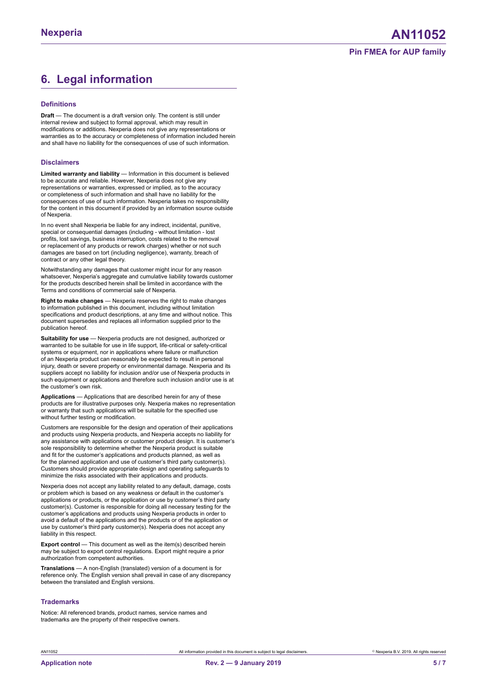## <span id="page-4-0"></span>**6. Legal information**

#### **Definitions**

**Draft** — The document is a draft version only. The content is still under internal review and subject to formal approval, which may result in modifications or additions. Nexperia does not give any representations or warranties as to the accuracy or completeness of information included herein and shall have no liability for the consequences of use of such information.

#### **Disclaimers**

**Limited warranty and liability** — Information in this document is believed to be accurate and reliable. However, Nexperia does not give any representations or warranties, expressed or implied, as to the accuracy or completeness of such information and shall have no liability for the consequences of use of such information. Nexperia takes no responsibility for the content in this document if provided by an information source outside of Nexperia.

In no event shall Nexperia be liable for any indirect, incidental, punitive, special or consequential damages (including - without limitation - lost profits, lost savings, business interruption, costs related to the removal or replacement of any products or rework charges) whether or not such damages are based on tort (including negligence), warranty, breach of contract or any other legal theory.

Notwithstanding any damages that customer might incur for any reason whatsoever, Nexperia's aggregate and cumulative liability towards customer for the products described herein shall be limited in accordance with the Terms and conditions of commercial sale of Nexperia.

**Right to make changes** — Nexperia reserves the right to make changes to information published in this document, including without limitation specifications and product descriptions, at any time and without notice. This document supersedes and replaces all information supplied prior to the publication hereof.

**Suitability for use** — Nexperia products are not designed, authorized or warranted to be suitable for use in life support, life-critical or safety-critical systems or equipment, nor in applications where failure or malfunction of an Nexperia product can reasonably be expected to result in personal injury, death or severe property or environmental damage. Nexperia and its suppliers accept no liability for inclusion and/or use of Nexperia products in such equipment or applications and therefore such inclusion and/or use is at the customer's own risk.

**Applications** — Applications that are described herein for any of these products are for illustrative purposes only. Nexperia makes no representation or warranty that such applications will be suitable for the specified use without further testing or modification.

Customers are responsible for the design and operation of their applications and products using Nexperia products, and Nexperia accepts no liability for any assistance with applications or customer product design. It is customer's sole responsibility to determine whether the Nexperia product is suitable and fit for the customer's applications and products planned, as well as for the planned application and use of customer's third party customer(s). Customers should provide appropriate design and operating safeguards to minimize the risks associated with their applications and products.

Nexperia does not accept any liability related to any default, damage, costs or problem which is based on any weakness or default in the customer's applications or products, or the application or use by customer's third party customer(s). Customer is responsible for doing all necessary testing for the customer's applications and products using Nexperia products in order to avoid a default of the applications and the products or of the application or use by customer's third party customer(s). Nexperia does not accept any liability in this respect.

**Export control** — This document as well as the item(s) described herein may be subject to export control regulations. Export might require a prior authorization from competent authorities.

**Translations** — A non-English (translated) version of a document is for reference only. The English version shall prevail in case of any discrepancy between the translated and English versions.

#### **Trademarks**

Notice: All referenced brands, product names, service names and trademarks are the property of their respective owners.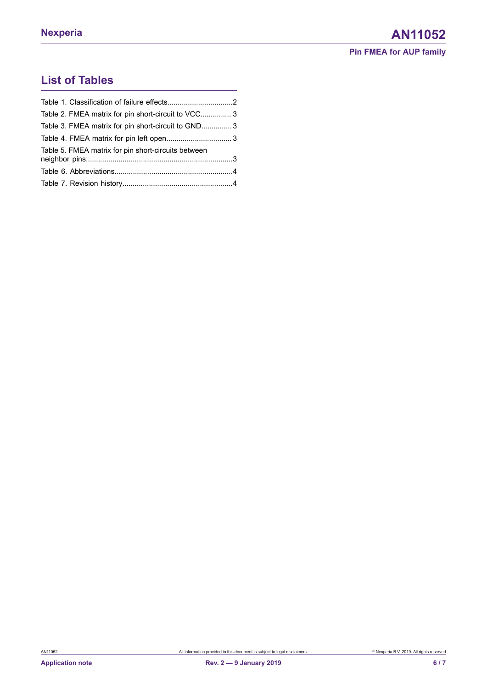## **List of Tables**

| Table 2. FMEA matrix for pin short-circuit to VCC 3 |  |
|-----------------------------------------------------|--|
| Table 3. FMEA matrix for pin short-circuit to GND3  |  |
|                                                     |  |
| Table 5. FMEA matrix for pin short-circuits between |  |
|                                                     |  |
|                                                     |  |
|                                                     |  |